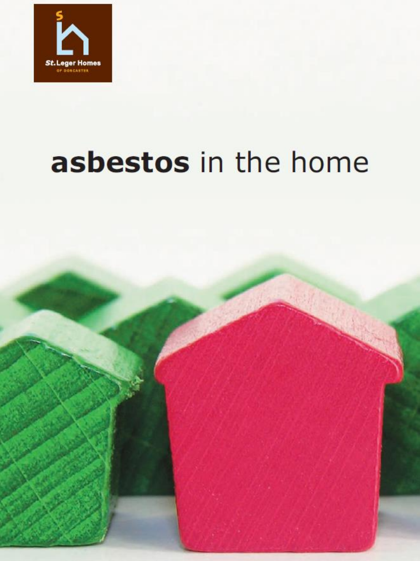

# asbestos in the home

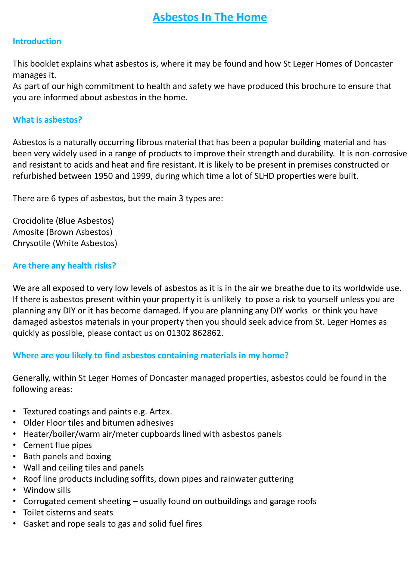# **Asbestos In The Home**

# **Introduction**

This booklet explains what asbestos is, where it may be found and how St Leger Homes of Doncaster manages it.

As part of our high commitment to health and safety we have produced this brochure to ensure that you are informed about asbestos in the home.

#### **What is asbestos?**

Asbestos is a naturally occurring fibrous material that has been a popular building material and has been very widely used in a range of products to improve their strength and durability. It is non-corrosive and resistant to acids and heat and fire resistant. It is likely to be present in premises constructed or refurbished between 1950 and 1999, during which time a lot of SLHD properties were built.

There are 6 types of asbestos, but the main 3 types are:

Crocidolite (Blue Asbestos) Amosite (Brown Asbestos) Chrysotile (White Asbestos)

# **Are there any health risks?**

We are all exposed to very low levels of asbestos as it is in the air we breathe due to its worldwide use. If there is asbestos present within your property it is unlikely to pose a risk to yourself unless you are planning any DIY or it has become damaged. If you are planning any DIY works or think you have damaged asbestos materials in your property then you should seek advice from St. Leger Homes as quickly as possible, please contact us on 01302 862862.

# **Where are you likely to find asbestos containing materials in my home?**

Generally, within St Leger Homes of Doncaster managed properties, asbestos could be found in the following areas:

- Textured coatings and paints e.g. Artex.
- Older Floor tiles and bitumen adhesives
- Heater/boiler/warm air/meter cupboards lined with asbestos panels
- Cement flue pipes
- Bath panels and boxing
- Wall and ceiling tiles and panels
- Roof line products including soffits, down pipes and rainwater guttering
- Window sills
- Corrugated cement sheeting usually found on outbuildings and garage roofs
- Toilet cisterns and seats
- Gasket and rope seals to gas and solid fuel fires